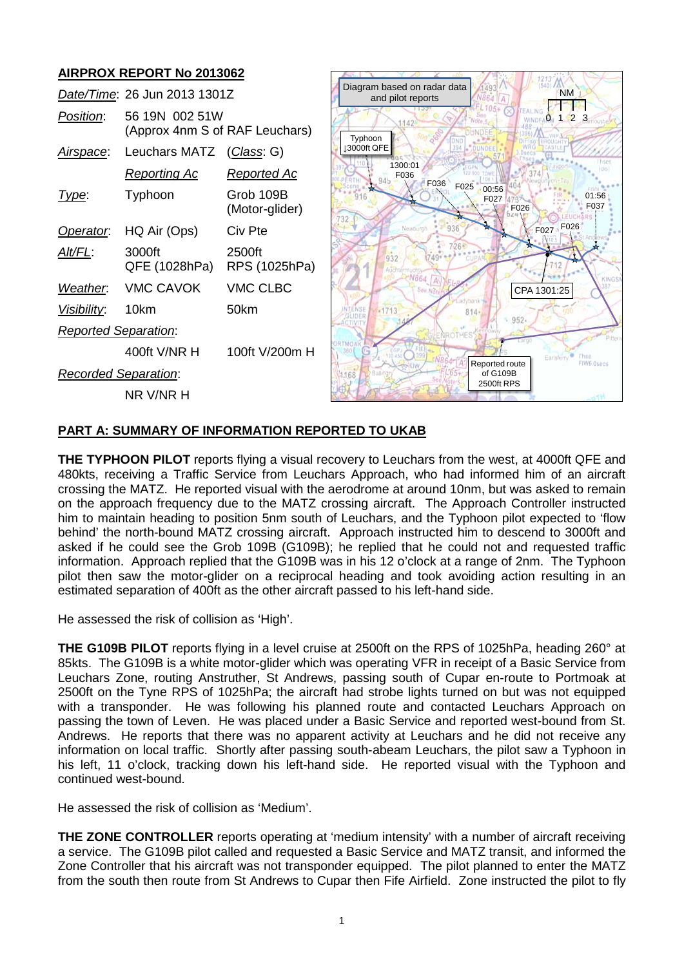# **AIRPROX REPORT No 2013062**

| Date/Time: 26 Jun 2013 1301Z |                                                  |                             | Diagram based on radar data<br><b>NM</b><br>and pilot reports |
|------------------------------|--------------------------------------------------|-----------------------------|---------------------------------------------------------------|
| Position:                    | 56 19N 002 51W<br>(Approx 4nm S of RAF Leuchars) |                             | 2 <sub>3</sub><br><b>WINDFAO</b><br>1142<br>Typhoon           |
| <u>Airspace</u> :            | Leuchars MATZ                                    | ( <i>Class</i> : G)         | 13000ft QFE                                                   |
|                              | <u>Reporting Ac</u>                              | <u>Reported Ac</u>          | 1300:01<br>F036                                               |
| Type:                        | Typhoon                                          | Grob 109B<br>(Motor-glider) | F036<br>F025<br>00:56<br>01:56<br>F027<br>F037<br>F026        |
| Operator.                    | HQ Air (Ops)                                     | Civ Pte                     | F027 F026<br>936<br>Newburgh                                  |
| Alt/FL:                      | 3000ft<br>QFE (1028hPa)                          | 2500ft<br>RPS (1025hPa)     | 726卷<br>932                                                   |
| Weather.                     | <b>VMC CAVOK</b>                                 | VMC CLBC                    | KINGS<br>CPA 1301:25<br>See No                                |
| Visibility:                  | 10km                                             | 50km                        | advbank<br>$-1713$<br>$814 -$<br>$952 -$                      |
| <b>Reported Separation:</b>  |                                                  |                             |                                                               |
|                              | 400ft V/NR H                                     | 100ft V/200m H              | ORTMO<br>l'hse<br>Earlsferry                                  |
| <b>Recorded Separation:</b>  |                                                  |                             | Reported route<br>FIWE Osecs<br>of G109B<br>1168              |
|                              | NR V/NR H                                        |                             | 2500ft RPS                                                    |

# **PART A: SUMMARY OF INFORMATION REPORTED TO UKAB**

**THE TYPHOON PILOT** reports flying a visual recovery to Leuchars from the west, at 4000ft QFE and 480kts, receiving a Traffic Service from Leuchars Approach, who had informed him of an aircraft crossing the MATZ. He reported visual with the aerodrome at around 10nm, but was asked to remain on the approach frequency due to the MATZ crossing aircraft. The Approach Controller instructed him to maintain heading to position 5nm south of Leuchars, and the Typhoon pilot expected to 'flow behind' the north-bound MATZ crossing aircraft. Approach instructed him to descend to 3000ft and asked if he could see the Grob 109B (G109B); he replied that he could not and requested traffic information. Approach replied that the G109B was in his 12 o'clock at a range of 2nm. The Typhoon pilot then saw the motor-glider on a reciprocal heading and took avoiding action resulting in an estimated separation of 400ft as the other aircraft passed to his left-hand side.

He assessed the risk of collision as 'High'.

**THE G109B PILOT** reports flying in a level cruise at 2500ft on the RPS of 1025hPa, heading 260° at 85kts. The G109B is a white motor-glider which was operating VFR in receipt of a Basic Service from Leuchars Zone, routing Anstruther, St Andrews, passing south of Cupar en-route to Portmoak at 2500ft on the Tyne RPS of 1025hPa; the aircraft had strobe lights turned on but was not equipped with a transponder. He was following his planned route and contacted Leuchars Approach on passing the town of Leven. He was placed under a Basic Service and reported west-bound from St. Andrews. He reports that there was no apparent activity at Leuchars and he did not receive any information on local traffic. Shortly after passing south-abeam Leuchars, the pilot saw a Typhoon in his left, 11 o'clock, tracking down his left-hand side. He reported visual with the Typhoon and continued west-bound.

He assessed the risk of collision as 'Medium'.

**THE ZONE CONTROLLER** reports operating at 'medium intensity' with a number of aircraft receiving a service. The G109B pilot called and requested a Basic Service and MATZ transit, and informed the Zone Controller that his aircraft was not transponder equipped. The pilot planned to enter the MATZ from the south then route from St Andrews to Cupar then Fife Airfield. Zone instructed the pilot to fly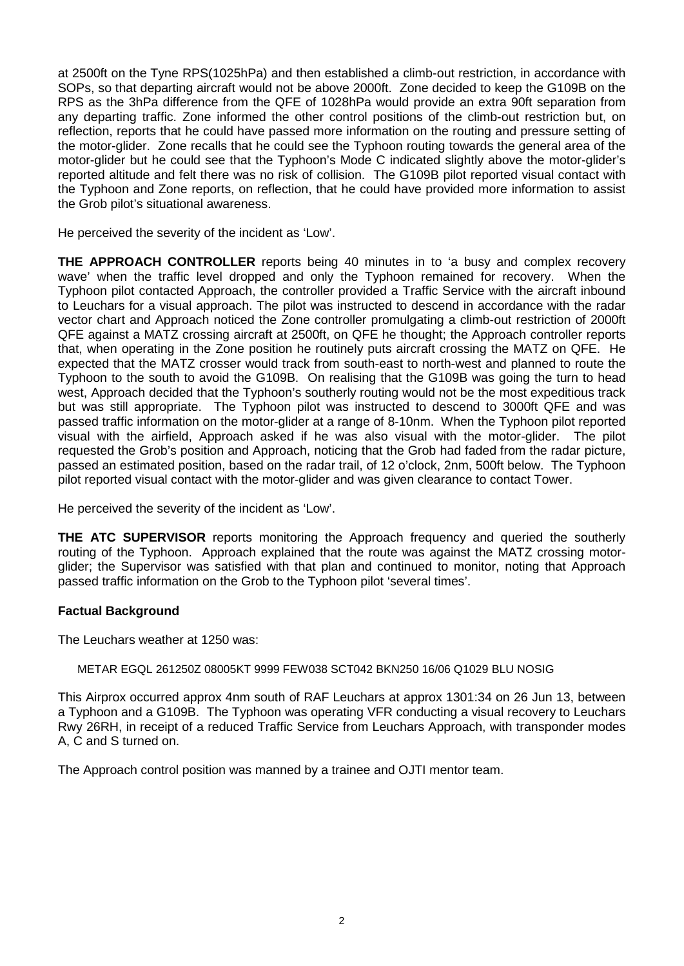at 2500ft on the Tyne RPS(1025hPa) and then established a climb-out restriction, in accordance with SOPs, so that departing aircraft would not be above 2000ft. Zone decided to keep the G109B on the RPS as the 3hPa difference from the QFE of 1028hPa would provide an extra 90ft separation from any departing traffic. Zone informed the other control positions of the climb-out restriction but, on reflection, reports that he could have passed more information on the routing and pressure setting of the motor-glider. Zone recalls that he could see the Typhoon routing towards the general area of the motor-glider but he could see that the Typhoon's Mode C indicated slightly above the motor-glider's reported altitude and felt there was no risk of collision. The G109B pilot reported visual contact with the Typhoon and Zone reports, on reflection, that he could have provided more information to assist the Grob pilot's situational awareness.

He perceived the severity of the incident as 'Low'.

**THE APPROACH CONTROLLER** reports being 40 minutes in to 'a busy and complex recovery wave' when the traffic level dropped and only the Typhoon remained for recovery. When the Typhoon pilot contacted Approach, the controller provided a Traffic Service with the aircraft inbound to Leuchars for a visual approach. The pilot was instructed to descend in accordance with the radar vector chart and Approach noticed the Zone controller promulgating a climb-out restriction of 2000ft QFE against a MATZ crossing aircraft at 2500ft, on QFE he thought; the Approach controller reports that, when operating in the Zone position he routinely puts aircraft crossing the MATZ on QFE. He expected that the MATZ crosser would track from south-east to north-west and planned to route the Typhoon to the south to avoid the G109B. On realising that the G109B was going the turn to head west, Approach decided that the Typhoon's southerly routing would not be the most expeditious track but was still appropriate. The Typhoon pilot was instructed to descend to 3000ft QFE and was passed traffic information on the motor-glider at a range of 8-10nm. When the Typhoon pilot reported visual with the airfield, Approach asked if he was also visual with the motor-glider. The pilot requested the Grob's position and Approach, noticing that the Grob had faded from the radar picture, passed an estimated position, based on the radar trail, of 12 o'clock, 2nm, 500ft below. The Typhoon pilot reported visual contact with the motor-glider and was given clearance to contact Tower.

He perceived the severity of the incident as 'Low'.

**THE ATC SUPERVISOR** reports monitoring the Approach frequency and queried the southerly routing of the Typhoon. Approach explained that the route was against the MATZ crossing motorglider; the Supervisor was satisfied with that plan and continued to monitor, noting that Approach passed traffic information on the Grob to the Typhoon pilot 'several times'.

# **Factual Background**

The Leuchars weather at 1250 was:

METAR EGQL 261250Z 08005KT 9999 FEW038 SCT042 BKN250 16/06 Q1029 BLU NOSIG

This Airprox occurred approx 4nm south of RAF Leuchars at approx 1301:34 on 26 Jun 13, between a Typhoon and a G109B. The Typhoon was operating VFR conducting a visual recovery to Leuchars Rwy 26RH, in receipt of a reduced Traffic Service from Leuchars Approach, with transponder modes A, C and S turned on.

The Approach control position was manned by a trainee and OJTI mentor team.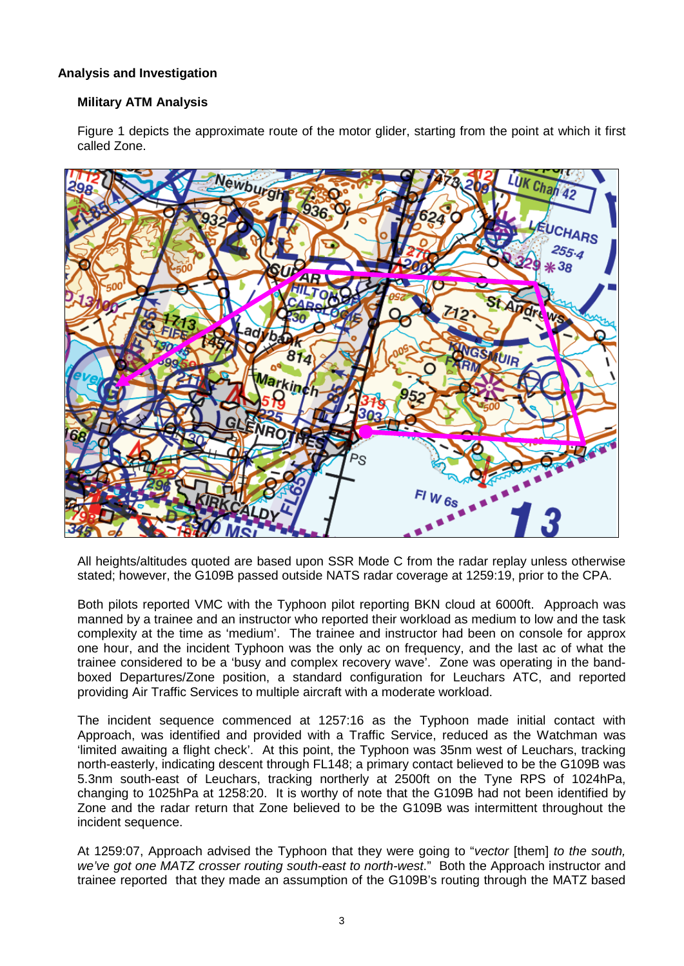# **Analysis and Investigation**

# **Military ATM Analysis**

Figure 1 depicts the approximate route of the motor glider, starting from the point at which it first called Zone.



All heights/altitudes quoted are based upon SSR Mode C from the radar replay unless otherwise stated; however, the G109B passed outside NATS radar coverage at 1259:19, prior to the CPA.

Both pilots reported VMC with the Typhoon pilot reporting BKN cloud at 6000ft. Approach was manned by a trainee and an instructor who reported their workload as medium to low and the task complexity at the time as 'medium'. The trainee and instructor had been on console for approx one hour, and the incident Typhoon was the only ac on frequency, and the last ac of what the trainee considered to be a 'busy and complex recovery wave'. Zone was operating in the bandboxed Departures/Zone position, a standard configuration for Leuchars ATC, and reported providing Air Traffic Services to multiple aircraft with a moderate workload.

The incident sequence commenced at 1257:16 as the Typhoon made initial contact with Approach, was identified and provided with a Traffic Service, reduced as the Watchman was 'limited awaiting a flight check'. At this point, the Typhoon was 35nm west of Leuchars, tracking north-easterly, indicating descent through FL148; a primary contact believed to be the G109B was 5.3nm south-east of Leuchars, tracking northerly at 2500ft on the Tyne RPS of 1024hPa, changing to 1025hPa at 1258:20. It is worthy of note that the G109B had not been identified by Zone and the radar return that Zone believed to be the G109B was intermittent throughout the incident sequence.

At 1259:07, Approach advised the Typhoon that they were going to "*vector* [them] *to the south, we've got one MATZ crosser routing south-east to north-west*." Both the Approach instructor and trainee reported that they made an assumption of the G109B's routing through the MATZ based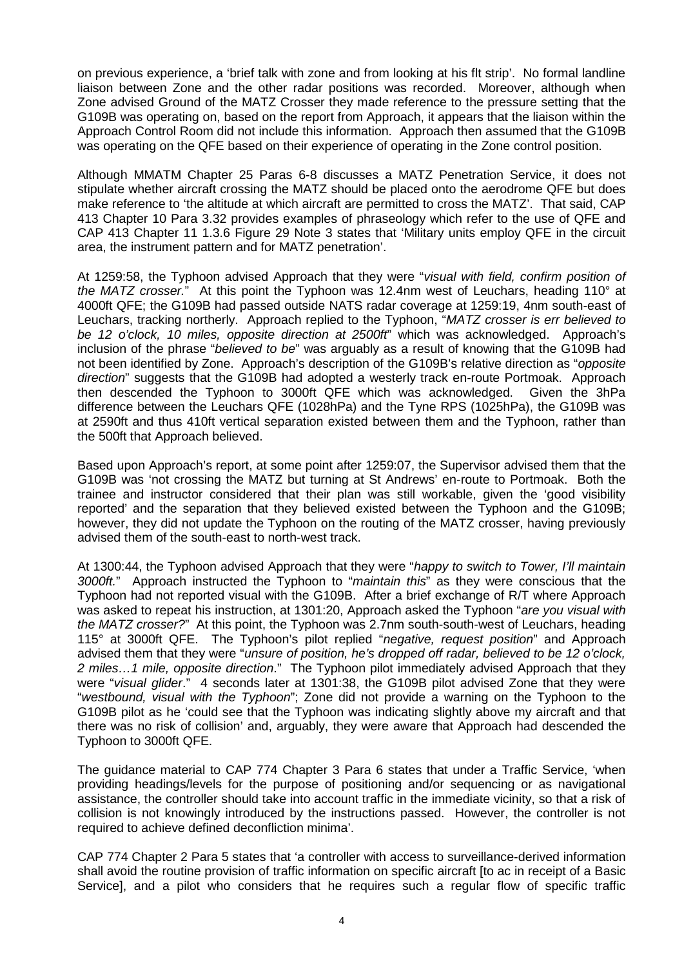on previous experience, a 'brief talk with zone and from looking at his flt strip'. No formal landline liaison between Zone and the other radar positions was recorded. Moreover, although when Zone advised Ground of the MATZ Crosser they made reference to the pressure setting that the G109B was operating on, based on the report from Approach, it appears that the liaison within the Approach Control Room did not include this information. Approach then assumed that the G109B was operating on the QFE based on their experience of operating in the Zone control position.

Although MMATM Chapter 25 Paras 6-8 discusses a MATZ Penetration Service, it does not stipulate whether aircraft crossing the MATZ should be placed onto the aerodrome QFE but does make reference to 'the altitude at which aircraft are permitted to cross the MATZ'. That said, CAP 413 Chapter 10 Para 3.32 provides examples of phraseology which refer to the use of QFE and CAP 413 Chapter 11 1.3.6 Figure 29 Note 3 states that 'Military units employ QFE in the circuit area, the instrument pattern and for MATZ penetration'.

At 1259:58, the Typhoon advised Approach that they were "*visual with field, confirm position of the MATZ crosser.*" At this point the Typhoon was 12.4nm west of Leuchars, heading 110° at 4000ft QFE; the G109B had passed outside NATS radar coverage at 1259:19, 4nm south-east of Leuchars, tracking northerly. Approach replied to the Typhoon, "*MATZ crosser is err believed to be 12 o'clock, 10 miles, opposite direction at 2500ft*" which was acknowledged. Approach's inclusion of the phrase "*believed to be*" was arguably as a result of knowing that the G109B had not been identified by Zone. Approach's description of the G109B's relative direction as "*opposite direction*" suggests that the G109B had adopted a westerly track en-route Portmoak. Approach then descended the Typhoon to 3000ft QFE which was acknowledged. Given the 3hPa difference between the Leuchars QFE (1028hPa) and the Tyne RPS (1025hPa), the G109B was at 2590ft and thus 410ft vertical separation existed between them and the Typhoon, rather than the 500ft that Approach believed.

Based upon Approach's report, at some point after 1259:07, the Supervisor advised them that the G109B was 'not crossing the MATZ but turning at St Andrews' en-route to Portmoak. Both the trainee and instructor considered that their plan was still workable, given the 'good visibility reported' and the separation that they believed existed between the Typhoon and the G109B; however, they did not update the Typhoon on the routing of the MATZ crosser, having previously advised them of the south-east to north-west track.

At 1300:44, the Typhoon advised Approach that they were "*happy to switch to Tower, I'll maintain 3000ft.*" Approach instructed the Typhoon to "*maintain this*" as they were conscious that the Typhoon had not reported visual with the G109B. After a brief exchange of R/T where Approach was asked to repeat his instruction, at 1301:20, Approach asked the Typhoon "*are you visual with the MATZ crosser?*" At this point, the Typhoon was 2.7nm south-south-west of Leuchars, heading 115° at 3000ft QFE. The Typhoon's pilot replied "*negative, request position*" and Approach advised them that they were "*unsure of position, he's dropped off radar, believed to be 12 o'clock, 2 miles…1 mile, opposite direction*." The Typhoon pilot immediately advised Approach that they were "*visual glider*." 4 seconds later at 1301:38, the G109B pilot advised Zone that they were "*westbound, visual with the Typhoon*"; Zone did not provide a warning on the Typhoon to the G109B pilot as he 'could see that the Typhoon was indicating slightly above my aircraft and that there was no risk of collision' and, arguably, they were aware that Approach had descended the Typhoon to 3000ft QFE.

The guidance material to CAP 774 Chapter 3 Para 6 states that under a Traffic Service, 'when providing headings/levels for the purpose of positioning and/or sequencing or as navigational assistance, the controller should take into account traffic in the immediate vicinity, so that a risk of collision is not knowingly introduced by the instructions passed. However, the controller is not required to achieve defined deconfliction minima'.

CAP 774 Chapter 2 Para 5 states that 'a controller with access to surveillance-derived information shall avoid the routine provision of traffic information on specific aircraft [to ac in receipt of a Basic Service], and a pilot who considers that he requires such a regular flow of specific traffic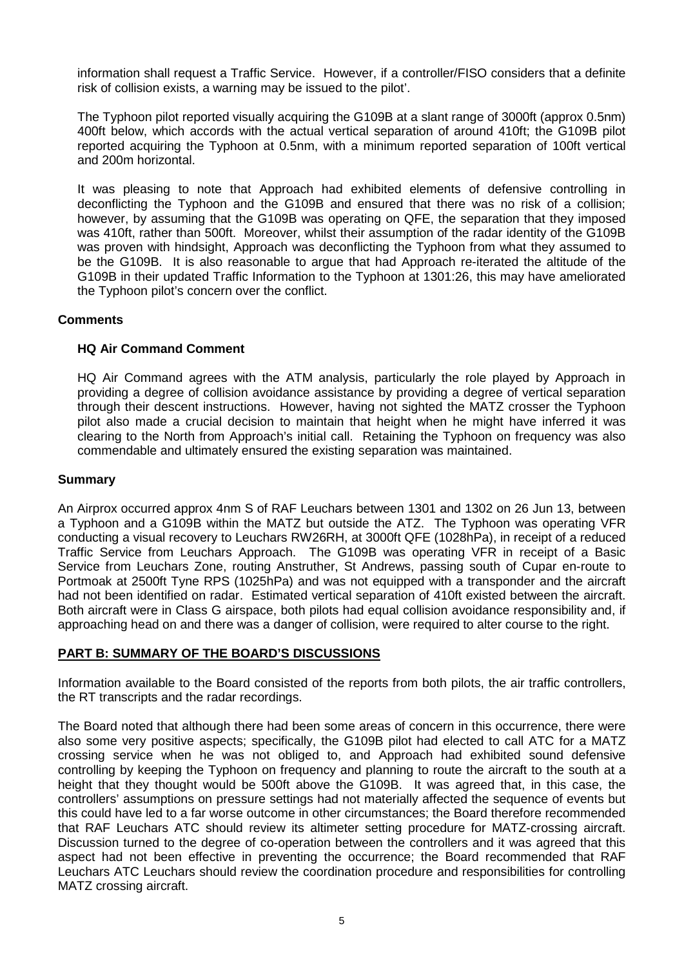information shall request a Traffic Service. However, if a controller/FISO considers that a definite risk of collision exists, a warning may be issued to the pilot'.

The Typhoon pilot reported visually acquiring the G109B at a slant range of 3000ft (approx 0.5nm) 400ft below, which accords with the actual vertical separation of around 410ft; the G109B pilot reported acquiring the Typhoon at 0.5nm, with a minimum reported separation of 100ft vertical and 200m horizontal.

It was pleasing to note that Approach had exhibited elements of defensive controlling in deconflicting the Typhoon and the G109B and ensured that there was no risk of a collision; however, by assuming that the G109B was operating on QFE, the separation that they imposed was 410ft, rather than 500ft. Moreover, whilst their assumption of the radar identity of the G109B was proven with hindsight, Approach was deconflicting the Typhoon from what they assumed to be the G109B. It is also reasonable to argue that had Approach re-iterated the altitude of the G109B in their updated Traffic Information to the Typhoon at 1301:26, this may have ameliorated the Typhoon pilot's concern over the conflict.

# **Comments**

#### **HQ Air Command Comment**

HQ Air Command agrees with the ATM analysis, particularly the role played by Approach in providing a degree of collision avoidance assistance by providing a degree of vertical separation through their descent instructions. However, having not sighted the MATZ crosser the Typhoon pilot also made a crucial decision to maintain that height when he might have inferred it was clearing to the North from Approach's initial call. Retaining the Typhoon on frequency was also commendable and ultimately ensured the existing separation was maintained.

#### **Summary**

An Airprox occurred approx 4nm S of RAF Leuchars between 1301 and 1302 on 26 Jun 13, between a Typhoon and a G109B within the MATZ but outside the ATZ. The Typhoon was operating VFR conducting a visual recovery to Leuchars RW26RH, at 3000ft QFE (1028hPa), in receipt of a reduced Traffic Service from Leuchars Approach. The G109B was operating VFR in receipt of a Basic Service from Leuchars Zone, routing Anstruther, St Andrews, passing south of Cupar en-route to Portmoak at 2500ft Tyne RPS (1025hPa) and was not equipped with a transponder and the aircraft had not been identified on radar. Estimated vertical separation of 410ft existed between the aircraft. Both aircraft were in Class G airspace, both pilots had equal collision avoidance responsibility and, if approaching head on and there was a danger of collision, were required to alter course to the right.

#### **PART B: SUMMARY OF THE BOARD'S DISCUSSIONS**

Information available to the Board consisted of the reports from both pilots, the air traffic controllers, the RT transcripts and the radar recordings.

The Board noted that although there had been some areas of concern in this occurrence, there were also some very positive aspects; specifically, the G109B pilot had elected to call ATC for a MATZ crossing service when he was not obliged to, and Approach had exhibited sound defensive controlling by keeping the Typhoon on frequency and planning to route the aircraft to the south at a height that they thought would be 500ft above the G109B. It was agreed that, in this case, the controllers' assumptions on pressure settings had not materially affected the sequence of events but this could have led to a far worse outcome in other circumstances; the Board therefore recommended that RAF Leuchars ATC should review its altimeter setting procedure for MATZ-crossing aircraft. Discussion turned to the degree of co-operation between the controllers and it was agreed that this aspect had not been effective in preventing the occurrence; the Board recommended that RAF Leuchars ATC Leuchars should review the coordination procedure and responsibilities for controlling MATZ crossing aircraft.